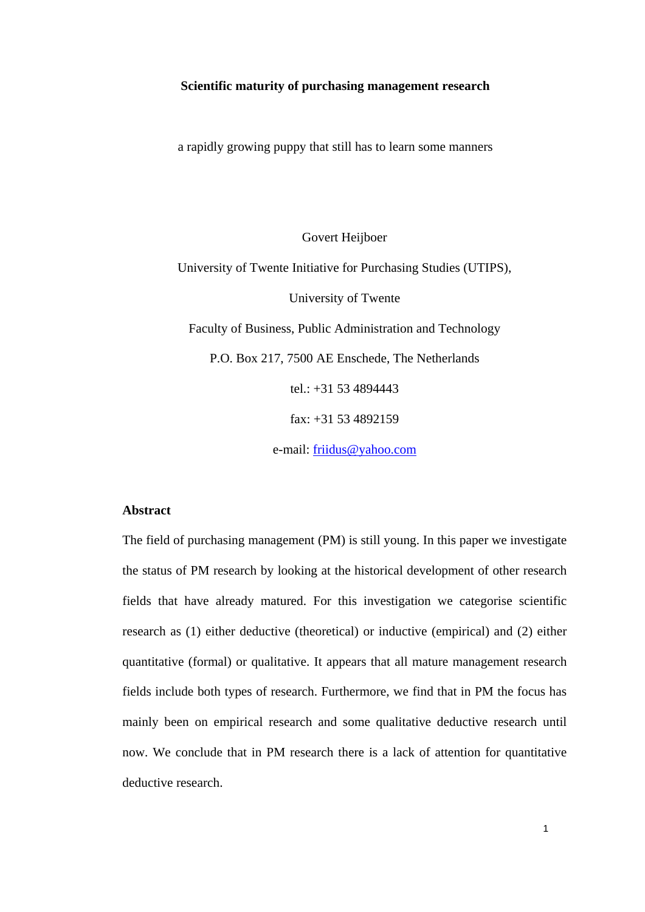#### **Scientific maturity of purchasing management research**

a rapidly growing puppy that still has to learn some manners

Govert Heijboer

University of Twente Initiative for Purchasing Studies (UTIPS), University of Twente Faculty of Business, Public Administration and Technology P.O. Box 217, 7500 AE Enschede, The Netherlands tel.: +31 53 4894443 fax: +31 53 4892159

e-mail: [friidus@yahoo.com](mailto:g.j.heijboer@sms.utwente.nl)

## **Abstract**

The field of purchasing management (PM) is still young. In this paper we investigate the status of PM research by looking at the historical development of other research fields that have already matured. For this investigation we categorise scientific research as (1) either deductive (theoretical) or inductive (empirical) and (2) either quantitative (formal) or qualitative. It appears that all mature management research fields include both types of research. Furthermore, we find that in PM the focus has mainly been on empirical research and some qualitative deductive research until now. We conclude that in PM research there is a lack of attention for quantitative deductive research.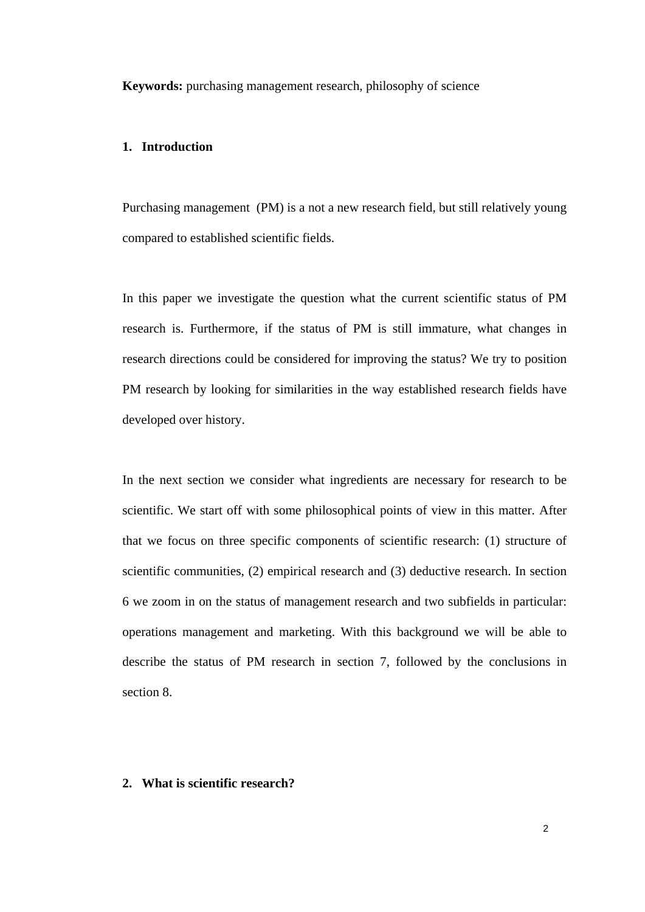**Keywords:** purchasing management research, philosophy of science

#### **1. Introduction**

Purchasing management (PM) is a not a new research field, but still relatively young compared to established scientific fields.

In this paper we investigate the question what the current scientific status of PM research is. Furthermore, if the status of PM is still immature, what changes in research directions could be considered for improving the status? We try to position PM research by looking for similarities in the way established research fields have developed over history.

In the next section we consider what ingredients are necessary for research to be scientific. We start off with some philosophical points of view in this matter. After that we focus on three specific components of scientific research: (1) structure of scientific communities, (2) empirical research and (3) deductive research. In section 6 we zoom in on the status of management research and two subfields in particular: operations management and marketing. With this background we will be able to describe the status of PM research in section 7, followed by the conclusions in section 8.

## **2. What is scientific research?**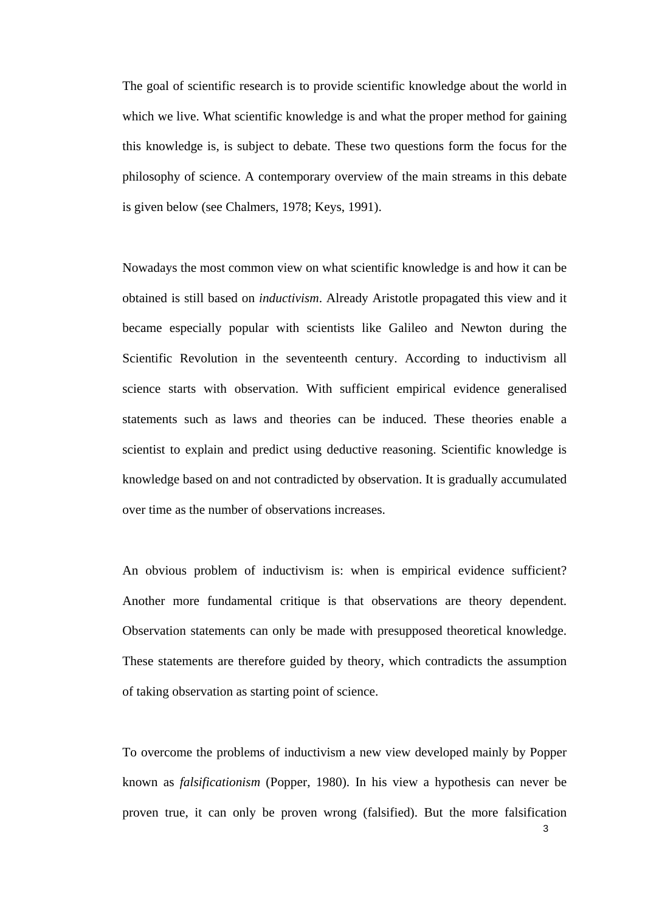The goal of scientific research is to provide scientific knowledge about the world in which we live. What scientific knowledge is and what the proper method for gaining this knowledge is, is subject to debate. These two questions form the focus for the philosophy of science. A contemporary overview of the main streams in this debate is given below (see Chalmers, 1978; Keys, 1991).

Nowadays the most common view on what scientific knowledge is and how it can be obtained is still based on *inductivism*. Already Aristotle propagated this view and it became especially popular with scientists like Galileo and Newton during the Scientific Revolution in the seventeenth century. According to inductivism all science starts with observation. With sufficient empirical evidence generalised statements such as laws and theories can be induced. These theories enable a scientist to explain and predict using deductive reasoning. Scientific knowledge is knowledge based on and not contradicted by observation. It is gradually accumulated over time as the number of observations increases.

An obvious problem of inductivism is: when is empirical evidence sufficient? Another more fundamental critique is that observations are theory dependent. Observation statements can only be made with presupposed theoretical knowledge. These statements are therefore guided by theory, which contradicts the assumption of taking observation as starting point of science.

To overcome the problems of inductivism a new view developed mainly by Popper known as *falsificationism* (Popper, 1980). In his view a hypothesis can never be proven true, it can only be proven wrong (falsified). But the more falsification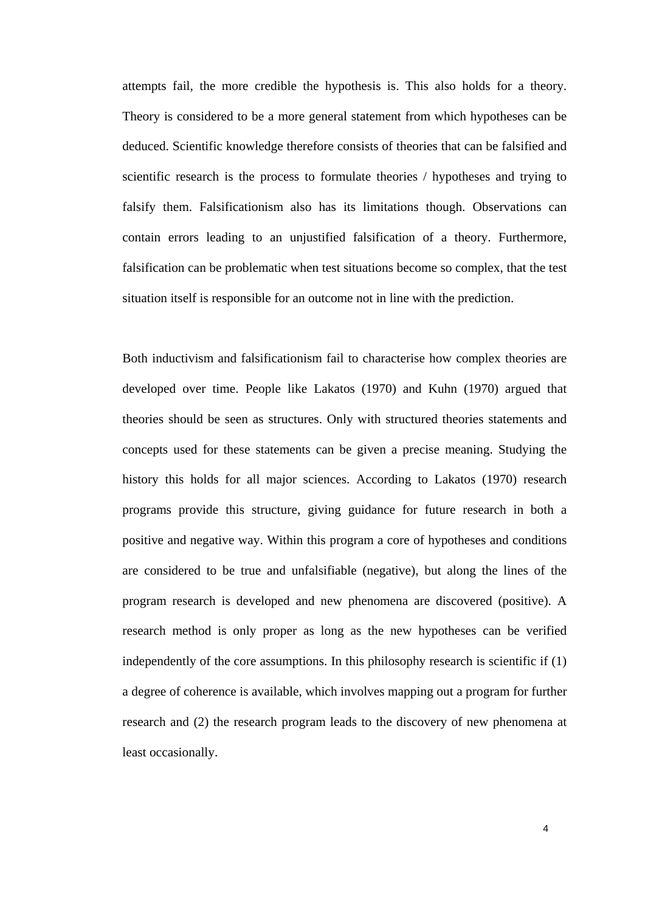attempts fail, the more credible the hypothesis is. This also holds for a theory. Theory is considered to be a more general statement from which hypotheses can be deduced. Scientific knowledge therefore consists of theories that can be falsified and scientific research is the process to formulate theories / hypotheses and trying to falsify them. Falsificationism also has its limitations though. Observations can contain errors leading to an unjustified falsification of a theory. Furthermore, falsification can be problematic when test situations become so complex, that the test situation itself is responsible for an outcome not in line with the prediction.

Both inductivism and falsificationism fail to characterise how complex theories are developed over time. People like Lakatos (1970) and Kuhn (1970) argued that theories should be seen as structures. Only with structured theories statements and concepts used for these statements can be given a precise meaning. Studying the history this holds for all major sciences. According to Lakatos (1970) research programs provide this structure, giving guidance for future research in both a positive and negative way. Within this program a core of hypotheses and conditions are considered to be true and unfalsifiable (negative), but along the lines of the program research is developed and new phenomena are discovered (positive). A research method is only proper as long as the new hypotheses can be verified independently of the core assumptions. In this philosophy research is scientific if (1) a degree of coherence is available, which involves mapping out a program for further research and (2) the research program leads to the discovery of new phenomena at least occasionally.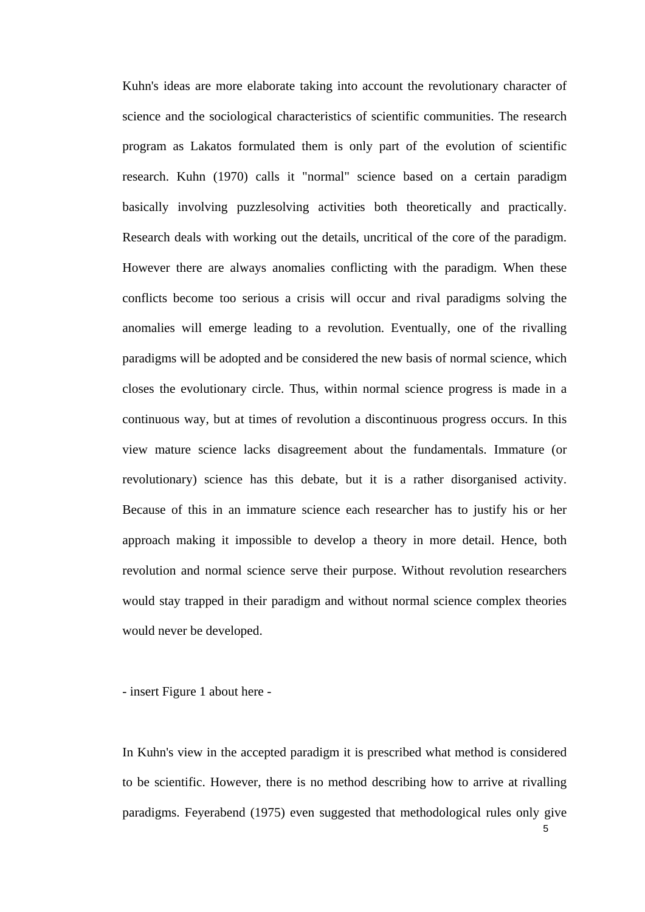Kuhn's ideas are more elaborate taking into account the revolutionary character of science and the sociological characteristics of scientific communities. The research program as Lakatos formulated them is only part of the evolution of scientific research. Kuhn (1970) calls it "normal" science based on a certain paradigm basically involving puzzlesolving activities both theoretically and practically. Research deals with working out the details, uncritical of the core of the paradigm. However there are always anomalies conflicting with the paradigm. When these conflicts become too serious a crisis will occur and rival paradigms solving the anomalies will emerge leading to a revolution. Eventually, one of the rivalling paradigms will be adopted and be considered the new basis of normal science, which closes the evolutionary circle. Thus, within normal science progress is made in a continuous way, but at times of revolution a discontinuous progress occurs. In this view mature science lacks disagreement about the fundamentals. Immature (or revolutionary) science has this debate, but it is a rather disorganised activity. Because of this in an immature science each researcher has to justify his or her approach making it impossible to develop a theory in more detail. Hence, both revolution and normal science serve their purpose. Without revolution researchers would stay trapped in their paradigm and without normal science complex theories would never be developed.

- insert Figure 1 about here -

In Kuhn's view in the accepted paradigm it is prescribed what method is considered to be scientific. However, there is no method describing how to arrive at rivalling paradigms. Feyerabend (1975) even suggested that methodological rules only give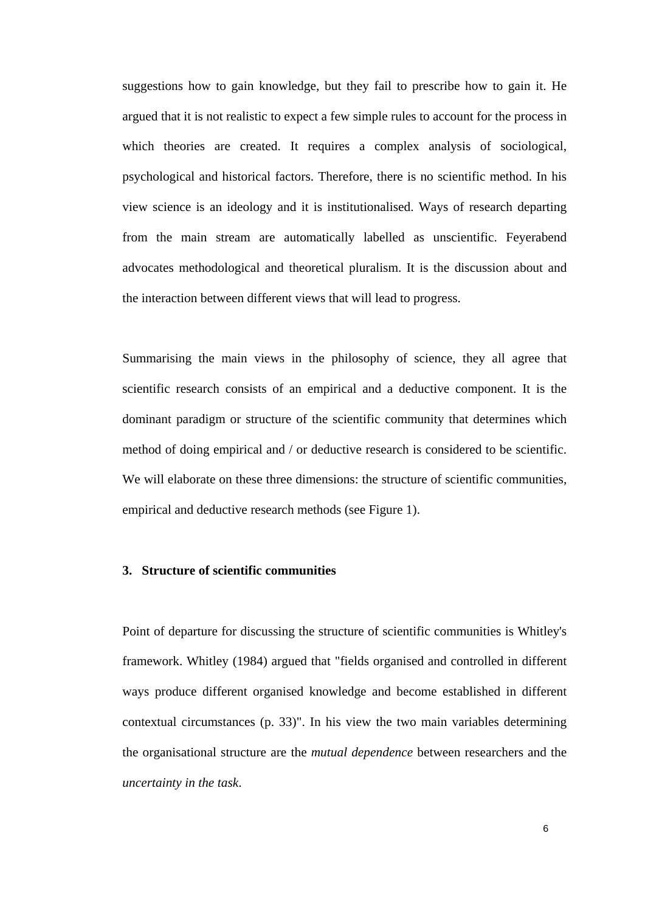suggestions how to gain knowledge, but they fail to prescribe how to gain it. He argued that it is not realistic to expect a few simple rules to account for the process in which theories are created. It requires a complex analysis of sociological, psychological and historical factors. Therefore, there is no scientific method. In his view science is an ideology and it is institutionalised. Ways of research departing from the main stream are automatically labelled as unscientific. Feyerabend advocates methodological and theoretical pluralism. It is the discussion about and the interaction between different views that will lead to progress.

Summarising the main views in the philosophy of science, they all agree that scientific research consists of an empirical and a deductive component. It is the dominant paradigm or structure of the scientific community that determines which method of doing empirical and / or deductive research is considered to be scientific. We will elaborate on these three dimensions: the structure of scientific communities, empirical and deductive research methods (see Figure 1).

## **3. Structure of scientific communities**

Point of departure for discussing the structure of scientific communities is Whitley's framework. Whitley (1984) argued that "fields organised and controlled in different ways produce different organised knowledge and become established in different contextual circumstances (p. 33)". In his view the two main variables determining the organisational structure are the *mutual dependence* between researchers and the *uncertainty in the task*.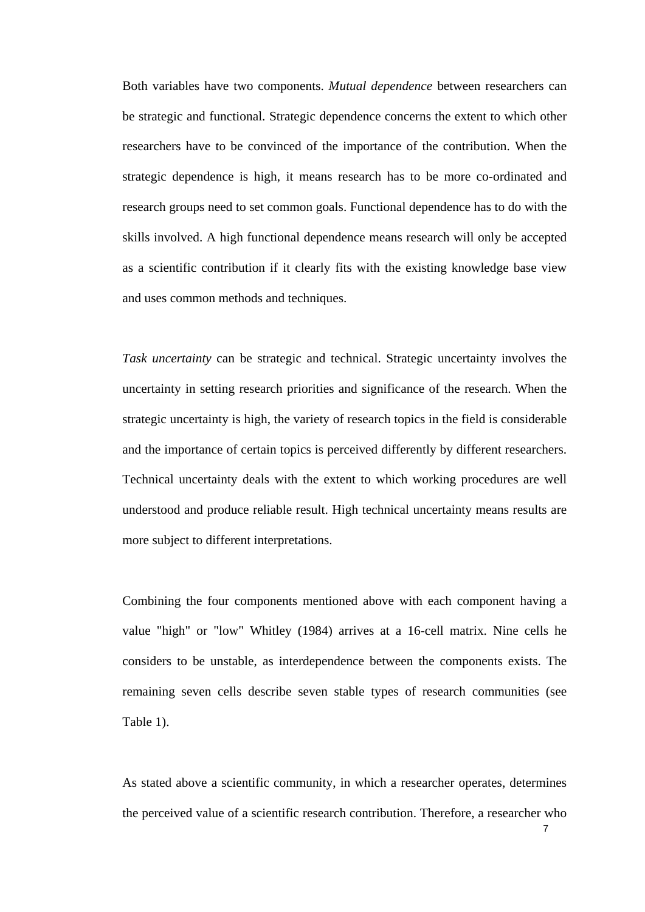Both variables have two components. *Mutual dependence* between researchers can be strategic and functional. Strategic dependence concerns the extent to which other researchers have to be convinced of the importance of the contribution. When the strategic dependence is high, it means research has to be more co-ordinated and research groups need to set common goals. Functional dependence has to do with the skills involved. A high functional dependence means research will only be accepted as a scientific contribution if it clearly fits with the existing knowledge base view and uses common methods and techniques.

*Task uncertainty* can be strategic and technical. Strategic uncertainty involves the uncertainty in setting research priorities and significance of the research. When the strategic uncertainty is high, the variety of research topics in the field is considerable and the importance of certain topics is perceived differently by different researchers. Technical uncertainty deals with the extent to which working procedures are well understood and produce reliable result. High technical uncertainty means results are more subject to different interpretations.

Combining the four components mentioned above with each component having a value "high" or "low" Whitley (1984) arrives at a 16-cell matrix. Nine cells he considers to be unstable, as interdependence between the components exists. The remaining seven cells describe seven stable types of research communities (see Table 1).

As stated above a scientific community, in which a researcher operates, determines the perceived value of a scientific research contribution. Therefore, a researcher who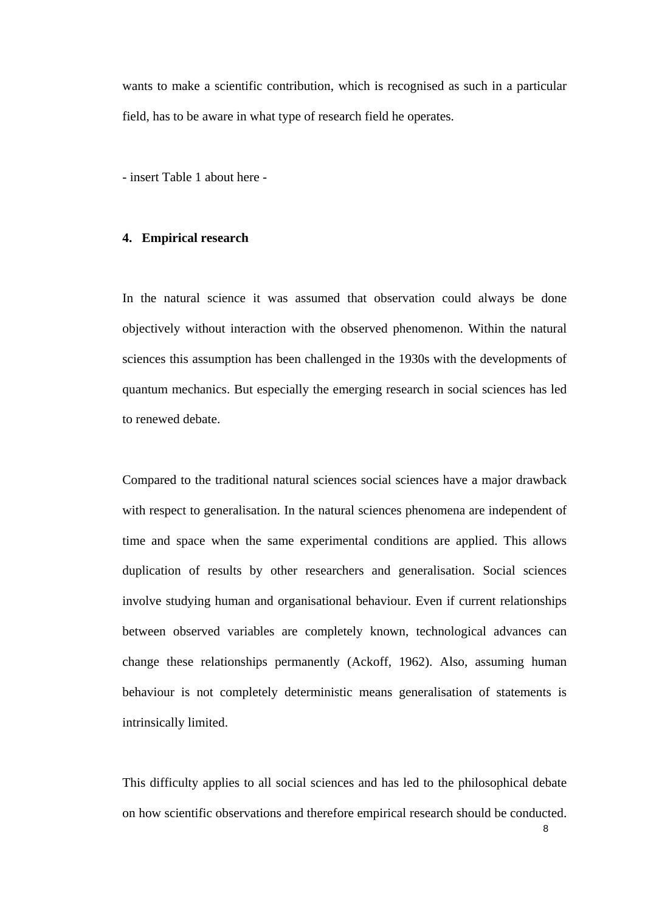wants to make a scientific contribution, which is recognised as such in a particular field, has to be aware in what type of research field he operates.

- insert Table 1 about here -

### **4. Empirical research**

In the natural science it was assumed that observation could always be done objectively without interaction with the observed phenomenon. Within the natural sciences this assumption has been challenged in the 1930s with the developments of quantum mechanics. But especially the emerging research in social sciences has led to renewed debate.

Compared to the traditional natural sciences social sciences have a major drawback with respect to generalisation. In the natural sciences phenomena are independent of time and space when the same experimental conditions are applied. This allows duplication of results by other researchers and generalisation. Social sciences involve studying human and organisational behaviour. Even if current relationships between observed variables are completely known, technological advances can change these relationships permanently (Ackoff, 1962). Also, assuming human behaviour is not completely deterministic means generalisation of statements is intrinsically limited.

This difficulty applies to all social sciences and has led to the philosophical debate on how scientific observations and therefore empirical research should be conducted.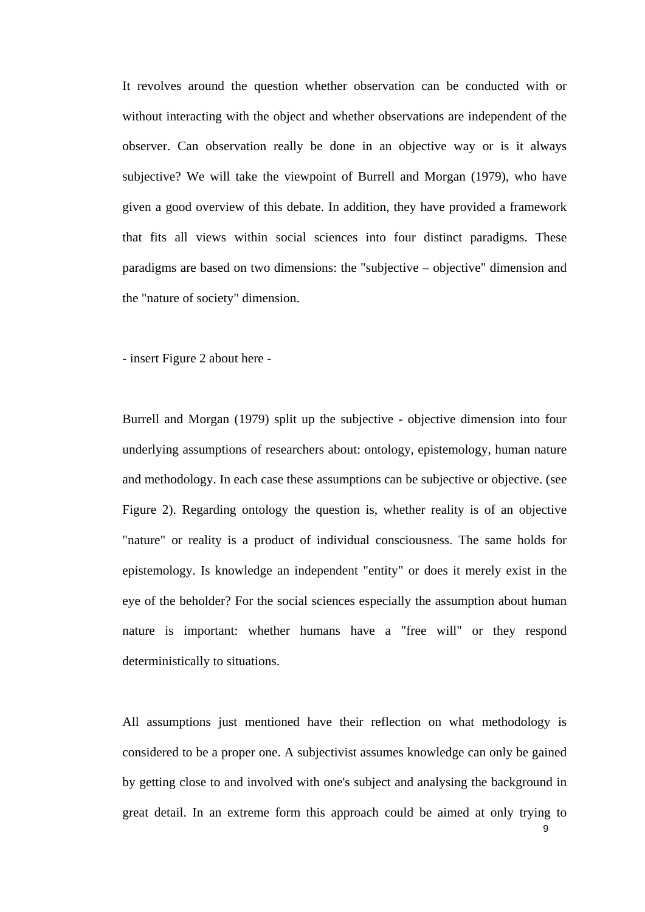It revolves around the question whether observation can be conducted with or without interacting with the object and whether observations are independent of the observer. Can observation really be done in an objective way or is it always subjective? We will take the viewpoint of Burrell and Morgan (1979), who have given a good overview of this debate. In addition, they have provided a framework that fits all views within social sciences into four distinct paradigms. These paradigms are based on two dimensions: the "subjective – objective" dimension and the "nature of society" dimension.

- insert Figure 2 about here -

Burrell and Morgan (1979) split up the subjective - objective dimension into four underlying assumptions of researchers about: ontology, epistemology, human nature and methodology. In each case these assumptions can be subjective or objective. (see Figure 2). Regarding ontology the question is, whether reality is of an objective "nature" or reality is a product of individual consciousness. The same holds for epistemology. Is knowledge an independent "entity" or does it merely exist in the eye of the beholder? For the social sciences especially the assumption about human nature is important: whether humans have a "free will" or they respond deterministically to situations.

All assumptions just mentioned have their reflection on what methodology is considered to be a proper one. A subjectivist assumes knowledge can only be gained by getting close to and involved with one's subject and analysing the background in great detail. In an extreme form this approach could be aimed at only trying to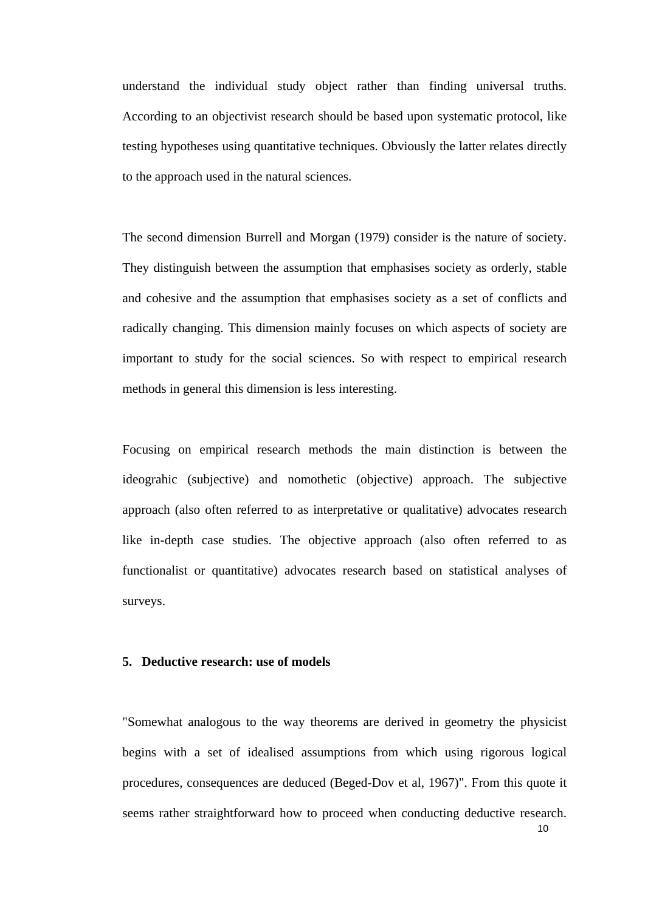understand the individual study object rather than finding universal truths. According to an objectivist research should be based upon systematic protocol, like testing hypotheses using quantitative techniques. Obviously the latter relates directly to the approach used in the natural sciences.

The second dimension Burrell and Morgan (1979) consider is the nature of society. They distinguish between the assumption that emphasises society as orderly, stable and cohesive and the assumption that emphasises society as a set of conflicts and radically changing. This dimension mainly focuses on which aspects of society are important to study for the social sciences. So with respect to empirical research methods in general this dimension is less interesting.

Focusing on empirical research methods the main distinction is between the ideograhic (subjective) and nomothetic (objective) approach. The subjective approach (also often referred to as interpretative or qualitative) advocates research like in-depth case studies. The objective approach (also often referred to as functionalist or quantitative) advocates research based on statistical analyses of surveys.

## **5. Deductive research: use of models**

"Somewhat analogous to the way theorems are derived in geometry the physicist begins with a set of idealised assumptions from which using rigorous logical procedures, consequences are deduced (Beged-Dov et al, 1967)". From this quote it seems rather straightforward how to proceed when conducting deductive research.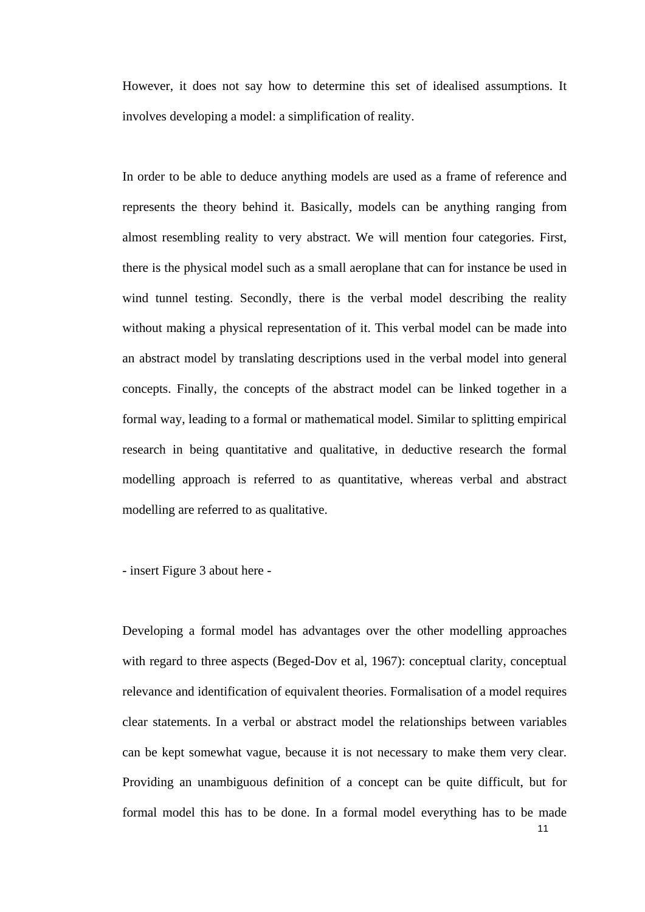However, it does not say how to determine this set of idealised assumptions. It involves developing a model: a simplification of reality.

In order to be able to deduce anything models are used as a frame of reference and represents the theory behind it. Basically, models can be anything ranging from almost resembling reality to very abstract. We will mention four categories. First, there is the physical model such as a small aeroplane that can for instance be used in wind tunnel testing. Secondly, there is the verbal model describing the reality without making a physical representation of it. This verbal model can be made into an abstract model by translating descriptions used in the verbal model into general concepts. Finally, the concepts of the abstract model can be linked together in a formal way, leading to a formal or mathematical model. Similar to splitting empirical research in being quantitative and qualitative, in deductive research the formal modelling approach is referred to as quantitative, whereas verbal and abstract modelling are referred to as qualitative.

- insert Figure 3 about here -

Developing a formal model has advantages over the other modelling approaches with regard to three aspects (Beged-Dov et al, 1967): conceptual clarity, conceptual relevance and identification of equivalent theories. Formalisation of a model requires clear statements. In a verbal or abstract model the relationships between variables can be kept somewhat vague, because it is not necessary to make them very clear. Providing an unambiguous definition of a concept can be quite difficult, but for formal model this has to be done. In a formal model everything has to be made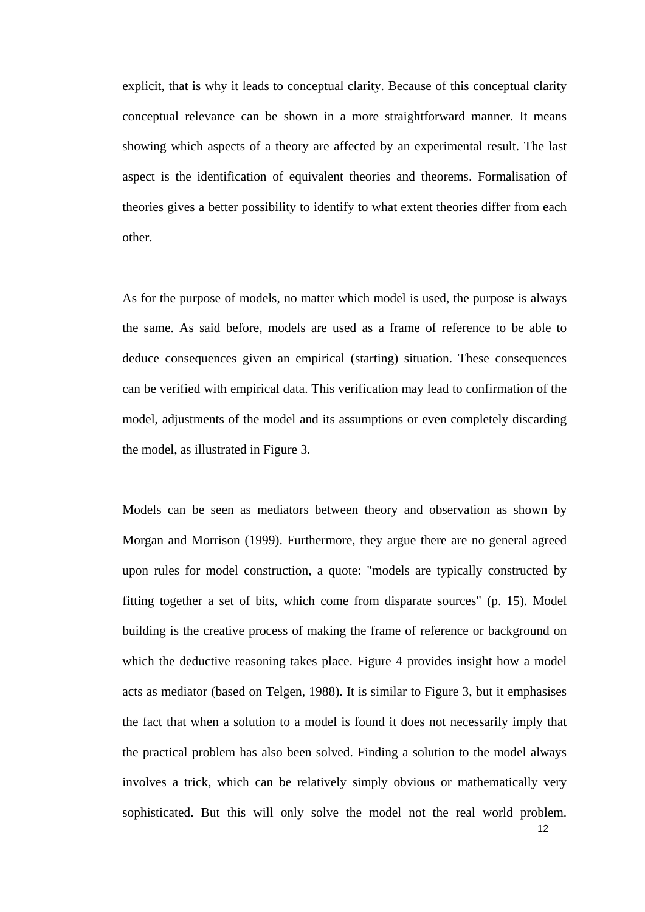explicit, that is why it leads to conceptual clarity. Because of this conceptual clarity conceptual relevance can be shown in a more straightforward manner. It means showing which aspects of a theory are affected by an experimental result. The last aspect is the identification of equivalent theories and theorems. Formalisation of theories gives a better possibility to identify to what extent theories differ from each other.

As for the purpose of models, no matter which model is used, the purpose is always the same. As said before, models are used as a frame of reference to be able to deduce consequences given an empirical (starting) situation. These consequences can be verified with empirical data. This verification may lead to confirmation of the model, adjustments of the model and its assumptions or even completely discarding the model, as illustrated in Figure 3.

Models can be seen as mediators between theory and observation as shown by Morgan and Morrison (1999). Furthermore, they argue there are no general agreed upon rules for model construction, a quote: "models are typically constructed by fitting together a set of bits, which come from disparate sources" (p. 15). Model building is the creative process of making the frame of reference or background on which the deductive reasoning takes place. Figure 4 provides insight how a model acts as mediator (based on Telgen, 1988). It is similar to Figure 3, but it emphasises the fact that when a solution to a model is found it does not necessarily imply that the practical problem has also been solved. Finding a solution to the model always involves a trick, which can be relatively simply obvious or mathematically very sophisticated. But this will only solve the model not the real world problem.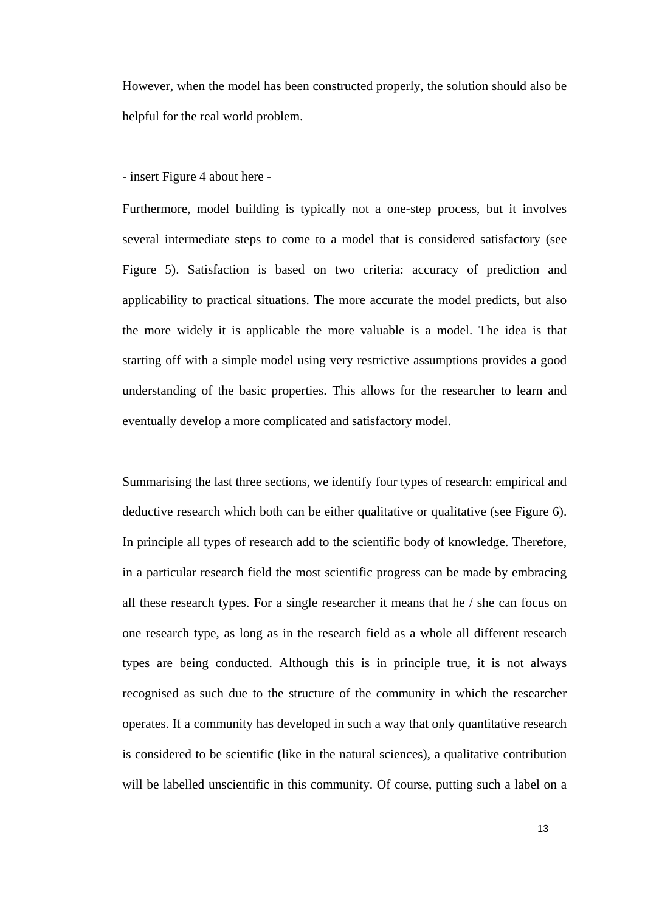However, when the model has been constructed properly, the solution should also be helpful for the real world problem.

- insert Figure 4 about here -

Furthermore, model building is typically not a one-step process, but it involves several intermediate steps to come to a model that is considered satisfactory (see Figure 5). Satisfaction is based on two criteria: accuracy of prediction and applicability to practical situations. The more accurate the model predicts, but also the more widely it is applicable the more valuable is a model. The idea is that starting off with a simple model using very restrictive assumptions provides a good understanding of the basic properties. This allows for the researcher to learn and eventually develop a more complicated and satisfactory model.

Summarising the last three sections, we identify four types of research: empirical and deductive research which both can be either qualitative or qualitative (see Figure 6). In principle all types of research add to the scientific body of knowledge. Therefore, in a particular research field the most scientific progress can be made by embracing all these research types. For a single researcher it means that he / she can focus on one research type, as long as in the research field as a whole all different research types are being conducted. Although this is in principle true, it is not always recognised as such due to the structure of the community in which the researcher operates. If a community has developed in such a way that only quantitative research is considered to be scientific (like in the natural sciences), a qualitative contribution will be labelled unscientific in this community. Of course, putting such a label on a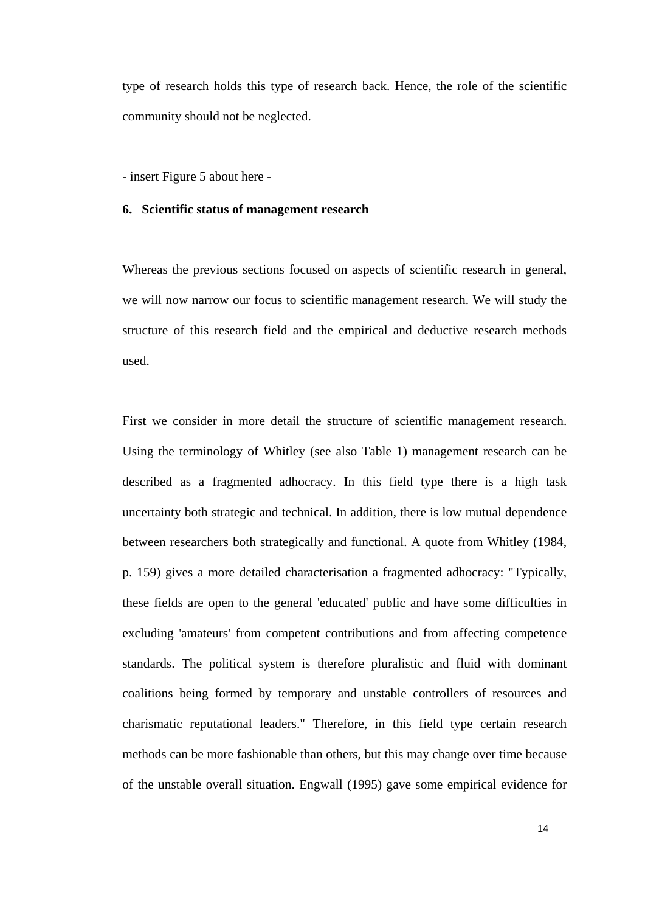type of research holds this type of research back. Hence, the role of the scientific community should not be neglected.

- insert Figure 5 about here -

#### **6. Scientific status of management research**

Whereas the previous sections focused on aspects of scientific research in general, we will now narrow our focus to scientific management research. We will study the structure of this research field and the empirical and deductive research methods used.

First we consider in more detail the structure of scientific management research. Using the terminology of Whitley (see also Table 1) management research can be described as a fragmented adhocracy. In this field type there is a high task uncertainty both strategic and technical. In addition, there is low mutual dependence between researchers both strategically and functional. A quote from Whitley (1984, p. 159) gives a more detailed characterisation a fragmented adhocracy: "Typically, these fields are open to the general 'educated' public and have some difficulties in excluding 'amateurs' from competent contributions and from affecting competence standards. The political system is therefore pluralistic and fluid with dominant coalitions being formed by temporary and unstable controllers of resources and charismatic reputational leaders." Therefore, in this field type certain research methods can be more fashionable than others, but this may change over time because of the unstable overall situation. Engwall (1995) gave some empirical evidence for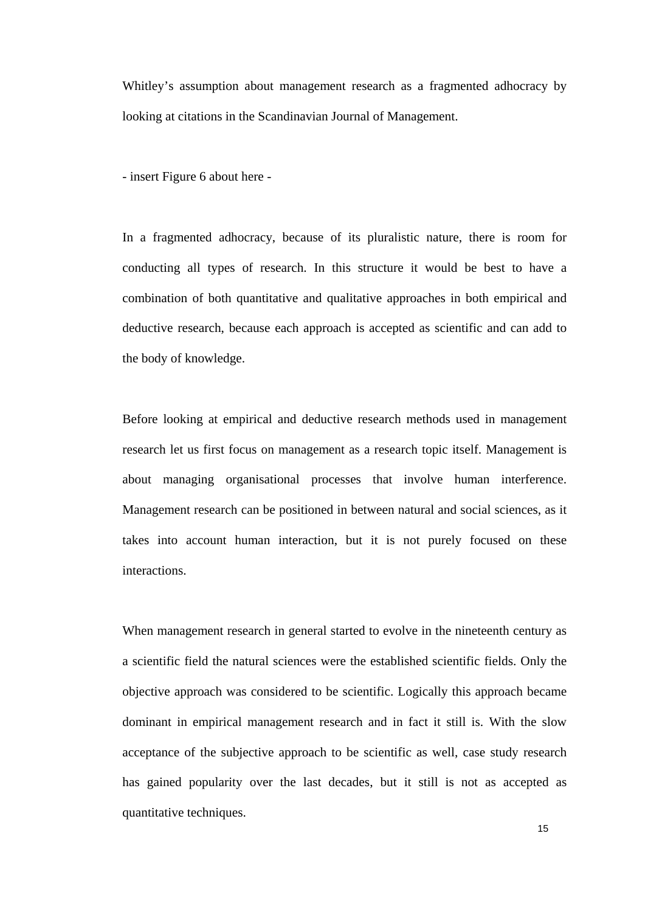Whitley's assumption about management research as a fragmented adhocracy by looking at citations in the Scandinavian Journal of Management.

- insert Figure 6 about here -

In a fragmented adhocracy, because of its pluralistic nature, there is room for conducting all types of research. In this structure it would be best to have a combination of both quantitative and qualitative approaches in both empirical and deductive research, because each approach is accepted as scientific and can add to the body of knowledge.

Before looking at empirical and deductive research methods used in management research let us first focus on management as a research topic itself. Management is about managing organisational processes that involve human interference. Management research can be positioned in between natural and social sciences, as it takes into account human interaction, but it is not purely focused on these interactions.

When management research in general started to evolve in the nineteenth century as a scientific field the natural sciences were the established scientific fields. Only the objective approach was considered to be scientific. Logically this approach became dominant in empirical management research and in fact it still is. With the slow acceptance of the subjective approach to be scientific as well, case study research has gained popularity over the last decades, but it still is not as accepted as quantitative techniques.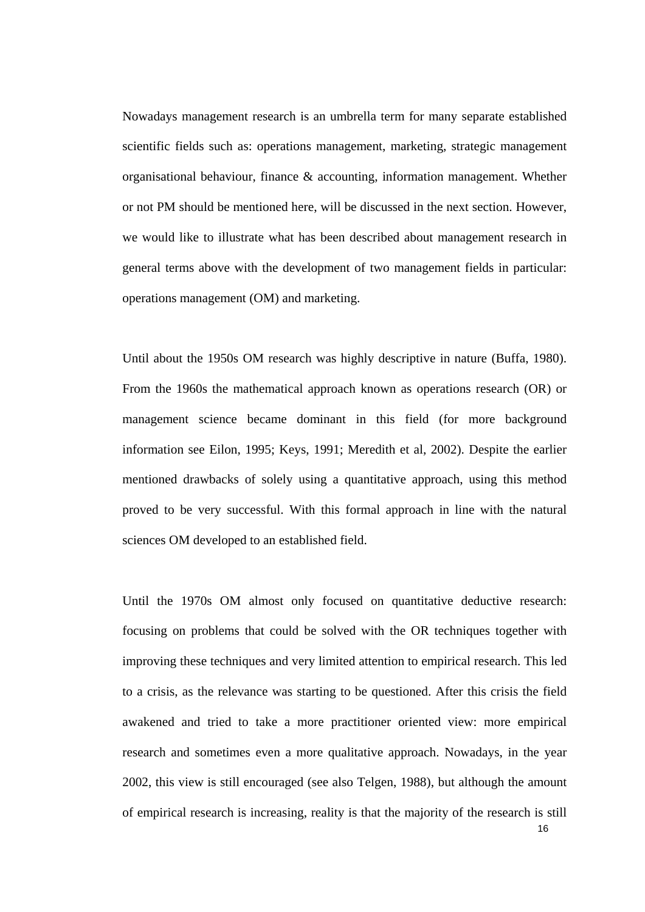Nowadays management research is an umbrella term for many separate established scientific fields such as: operations management, marketing, strategic management organisational behaviour, finance & accounting, information management. Whether or not PM should be mentioned here, will be discussed in the next section. However, we would like to illustrate what has been described about management research in general terms above with the development of two management fields in particular: operations management (OM) and marketing.

Until about the 1950s OM research was highly descriptive in nature (Buffa, 1980). From the 1960s the mathematical approach known as operations research (OR) or management science became dominant in this field (for more background information see Eilon, 1995; Keys, 1991; Meredith et al, 2002). Despite the earlier mentioned drawbacks of solely using a quantitative approach, using this method proved to be very successful. With this formal approach in line with the natural sciences OM developed to an established field.

Until the 1970s OM almost only focused on quantitative deductive research: focusing on problems that could be solved with the OR techniques together with improving these techniques and very limited attention to empirical research. This led to a crisis, as the relevance was starting to be questioned. After this crisis the field awakened and tried to take a more practitioner oriented view: more empirical research and sometimes even a more qualitative approach. Nowadays, in the year 2002, this view is still encouraged (see also Telgen, 1988), but although the amount of empirical research is increasing, reality is that the majority of the research is still

16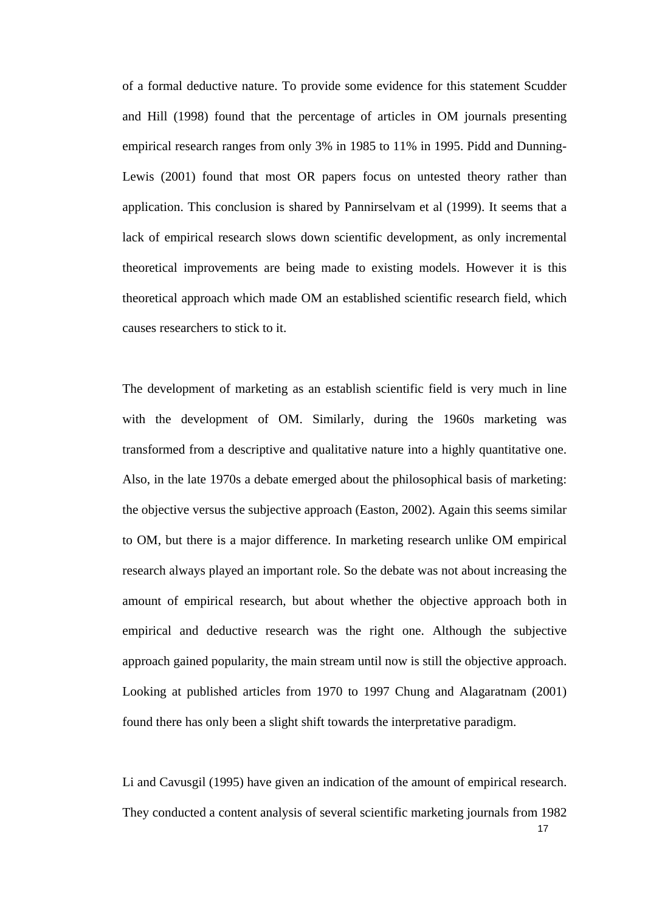of a formal deductive nature. To provide some evidence for this statement Scudder and Hill (1998) found that the percentage of articles in OM journals presenting empirical research ranges from only 3% in 1985 to 11% in 1995. Pidd and Dunning-Lewis (2001) found that most OR papers focus on untested theory rather than application. This conclusion is shared by Pannirselvam et al (1999). It seems that a lack of empirical research slows down scientific development, as only incremental theoretical improvements are being made to existing models. However it is this theoretical approach which made OM an established scientific research field, which causes researchers to stick to it.

The development of marketing as an establish scientific field is very much in line with the development of OM. Similarly, during the 1960s marketing was transformed from a descriptive and qualitative nature into a highly quantitative one. Also, in the late 1970s a debate emerged about the philosophical basis of marketing: the objective versus the subjective approach (Easton, 2002). Again this seems similar to OM, but there is a major difference. In marketing research unlike OM empirical research always played an important role. So the debate was not about increasing the amount of empirical research, but about whether the objective approach both in empirical and deductive research was the right one. Although the subjective approach gained popularity, the main stream until now is still the objective approach. Looking at published articles from 1970 to 1997 Chung and Alagaratnam (2001) found there has only been a slight shift towards the interpretative paradigm.

Li and Cavusgil (1995) have given an indication of the amount of empirical research. They conducted a content analysis of several scientific marketing journals from 1982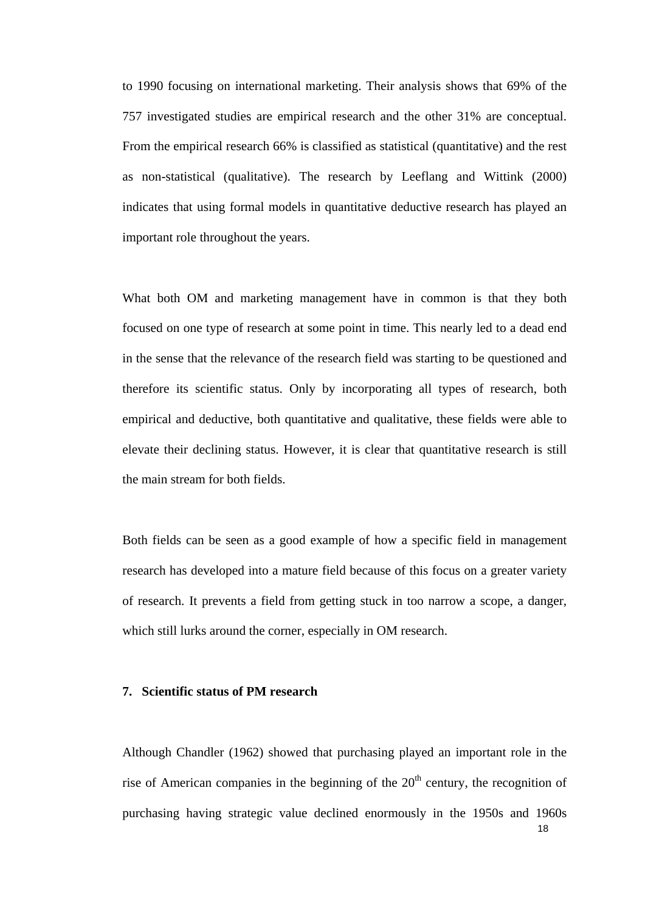to 1990 focusing on international marketing. Their analysis shows that 69% of the 757 investigated studies are empirical research and the other 31% are conceptual. From the empirical research 66% is classified as statistical (quantitative) and the rest as non-statistical (qualitative). The research by Leeflang and Wittink (2000) indicates that using formal models in quantitative deductive research has played an important role throughout the years.

What both OM and marketing management have in common is that they both focused on one type of research at some point in time. This nearly led to a dead end in the sense that the relevance of the research field was starting to be questioned and therefore its scientific status. Only by incorporating all types of research, both empirical and deductive, both quantitative and qualitative, these fields were able to elevate their declining status. However, it is clear that quantitative research is still the main stream for both fields.

Both fields can be seen as a good example of how a specific field in management research has developed into a mature field because of this focus on a greater variety of research. It prevents a field from getting stuck in too narrow a scope, a danger, which still lurks around the corner, especially in OM research.

#### **7. Scientific status of PM research**

18 Although Chandler (1962) showed that purchasing played an important role in the rise of American companies in the beginning of the  $20<sup>th</sup>$  century, the recognition of purchasing having strategic value declined enormously in the 1950s and 1960s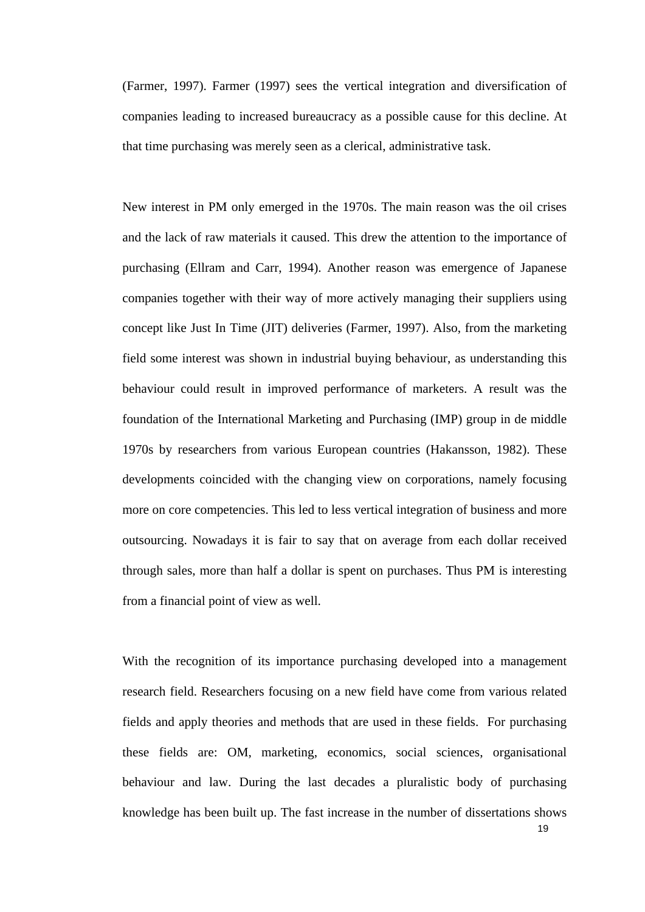(Farmer, 1997). Farmer (1997) sees the vertical integration and diversification of companies leading to increased bureaucracy as a possible cause for this decline. At that time purchasing was merely seen as a clerical, administrative task.

New interest in PM only emerged in the 1970s. The main reason was the oil crises and the lack of raw materials it caused. This drew the attention to the importance of purchasing (Ellram and Carr, 1994). Another reason was emergence of Japanese companies together with their way of more actively managing their suppliers using concept like Just In Time (JIT) deliveries (Farmer, 1997). Also, from the marketing field some interest was shown in industrial buying behaviour, as understanding this behaviour could result in improved performance of marketers. A result was the foundation of the International Marketing and Purchasing (IMP) group in de middle 1970s by researchers from various European countries (Hakansson, 1982). These developments coincided with the changing view on corporations, namely focusing more on core competencies. This led to less vertical integration of business and more outsourcing. Nowadays it is fair to say that on average from each dollar received through sales, more than half a dollar is spent on purchases. Thus PM is interesting from a financial point of view as well.

With the recognition of its importance purchasing developed into a management research field. Researchers focusing on a new field have come from various related fields and apply theories and methods that are used in these fields. For purchasing these fields are: OM, marketing, economics, social sciences, organisational behaviour and law. During the last decades a pluralistic body of purchasing knowledge has been built up. The fast increase in the number of dissertations shows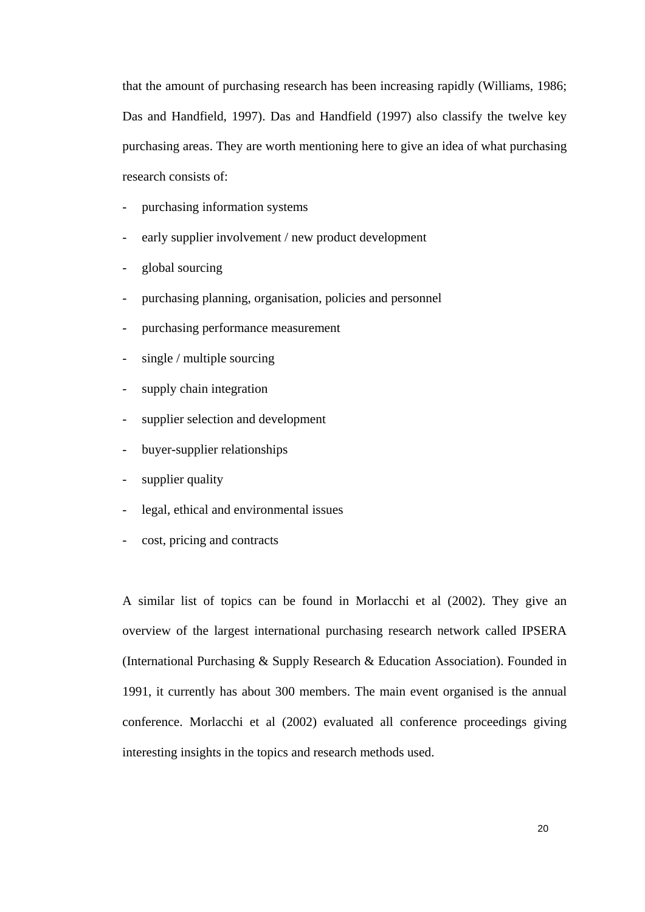that the amount of purchasing research has been increasing rapidly (Williams, 1986; Das and Handfield, 1997). Das and Handfield (1997) also classify the twelve key purchasing areas. They are worth mentioning here to give an idea of what purchasing research consists of:

- purchasing information systems
- early supplier involvement / new product development
- global sourcing
- purchasing planning, organisation, policies and personnel
- purchasing performance measurement
- single / multiple sourcing
- supply chain integration
- supplier selection and development
- buyer-supplier relationships
- supplier quality
- legal, ethical and environmental issues
- cost, pricing and contracts

A similar list of topics can be found in Morlacchi et al (2002). They give an overview of the largest international purchasing research network called IPSERA (International Purchasing & Supply Research & Education Association). Founded in 1991, it currently has about 300 members. The main event organised is the annual conference. Morlacchi et al (2002) evaluated all conference proceedings giving interesting insights in the topics and research methods used.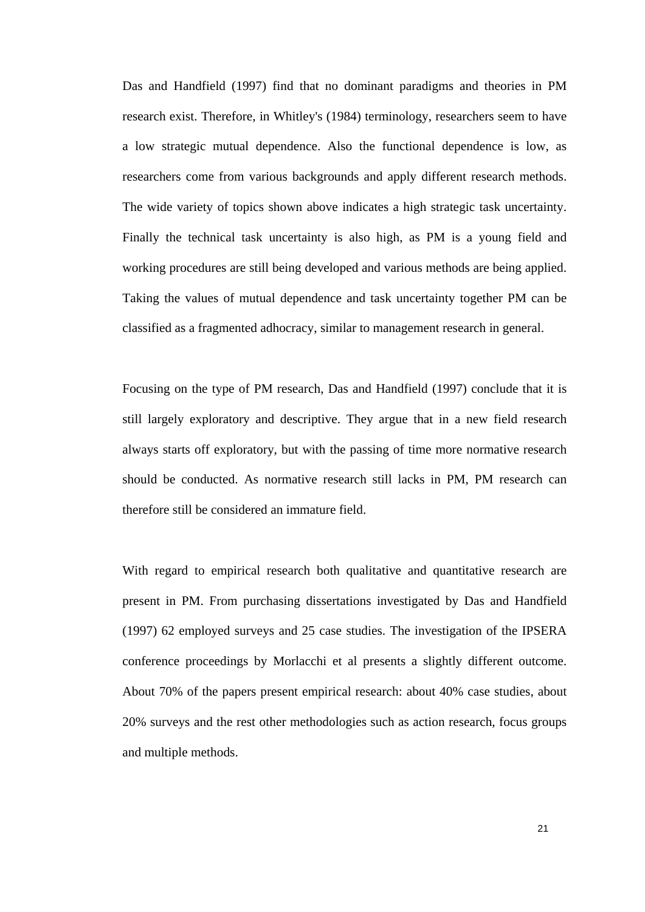Das and Handfield (1997) find that no dominant paradigms and theories in PM research exist. Therefore, in Whitley's (1984) terminology, researchers seem to have a low strategic mutual dependence. Also the functional dependence is low, as researchers come from various backgrounds and apply different research methods. The wide variety of topics shown above indicates a high strategic task uncertainty. Finally the technical task uncertainty is also high, as PM is a young field and working procedures are still being developed and various methods are being applied. Taking the values of mutual dependence and task uncertainty together PM can be classified as a fragmented adhocracy, similar to management research in general.

Focusing on the type of PM research, Das and Handfield (1997) conclude that it is still largely exploratory and descriptive. They argue that in a new field research always starts off exploratory, but with the passing of time more normative research should be conducted. As normative research still lacks in PM, PM research can therefore still be considered an immature field.

With regard to empirical research both qualitative and quantitative research are present in PM. From purchasing dissertations investigated by Das and Handfield (1997) 62 employed surveys and 25 case studies. The investigation of the IPSERA conference proceedings by Morlacchi et al presents a slightly different outcome. About 70% of the papers present empirical research: about 40% case studies, about 20% surveys and the rest other methodologies such as action research, focus groups and multiple methods.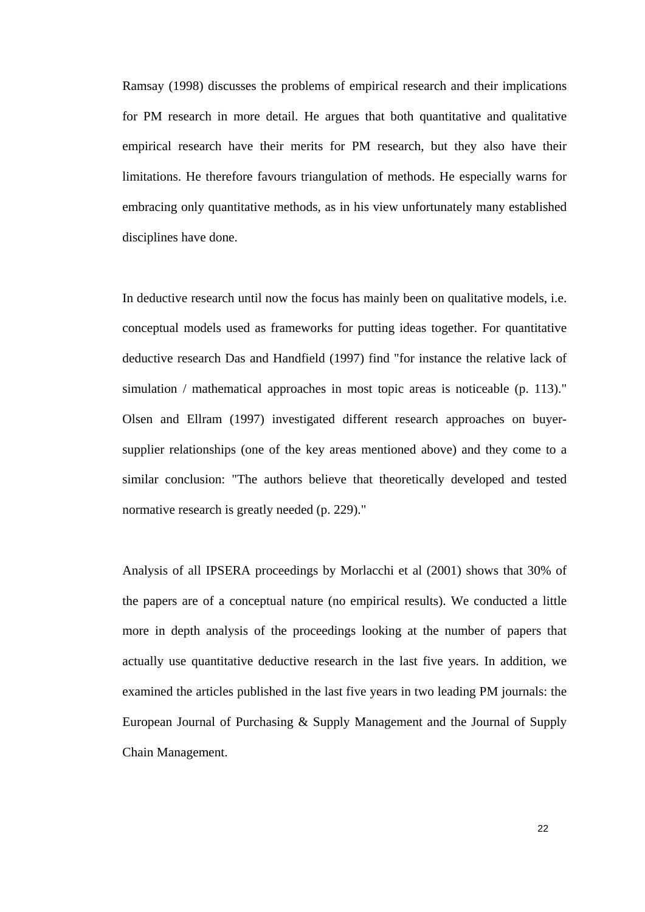Ramsay (1998) discusses the problems of empirical research and their implications for PM research in more detail. He argues that both quantitative and qualitative empirical research have their merits for PM research, but they also have their limitations. He therefore favours triangulation of methods. He especially warns for embracing only quantitative methods, as in his view unfortunately many established disciplines have done.

In deductive research until now the focus has mainly been on qualitative models, i.e. conceptual models used as frameworks for putting ideas together. For quantitative deductive research Das and Handfield (1997) find "for instance the relative lack of simulation / mathematical approaches in most topic areas is noticeable (p. 113)." Olsen and Ellram (1997) investigated different research approaches on buyersupplier relationships (one of the key areas mentioned above) and they come to a similar conclusion: "The authors believe that theoretically developed and tested normative research is greatly needed (p. 229)."

Analysis of all IPSERA proceedings by Morlacchi et al (2001) shows that 30% of the papers are of a conceptual nature (no empirical results). We conducted a little more in depth analysis of the proceedings looking at the number of papers that actually use quantitative deductive research in the last five years. In addition, we examined the articles published in the last five years in two leading PM journals: the European Journal of Purchasing & Supply Management and the Journal of Supply Chain Management.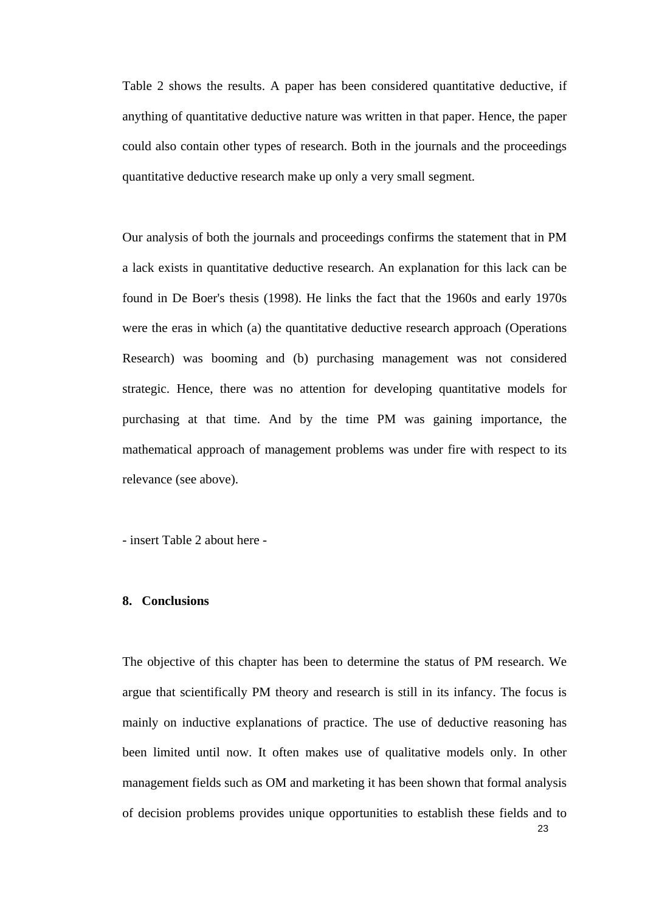Table 2 shows the results. A paper has been considered quantitative deductive, if anything of quantitative deductive nature was written in that paper. Hence, the paper could also contain other types of research. Both in the journals and the proceedings quantitative deductive research make up only a very small segment.

Our analysis of both the journals and proceedings confirms the statement that in PM a lack exists in quantitative deductive research. An explanation for this lack can be found in De Boer's thesis (1998). He links the fact that the 1960s and early 1970s were the eras in which (a) the quantitative deductive research approach (Operations Research) was booming and (b) purchasing management was not considered strategic. Hence, there was no attention for developing quantitative models for purchasing at that time. And by the time PM was gaining importance, the mathematical approach of management problems was under fire with respect to its relevance (see above).

- insert Table 2 about here -

### **8. Conclusions**

The objective of this chapter has been to determine the status of PM research. We argue that scientifically PM theory and research is still in its infancy. The focus is mainly on inductive explanations of practice. The use of deductive reasoning has been limited until now. It often makes use of qualitative models only. In other management fields such as OM and marketing it has been shown that formal analysis of decision problems provides unique opportunities to establish these fields and to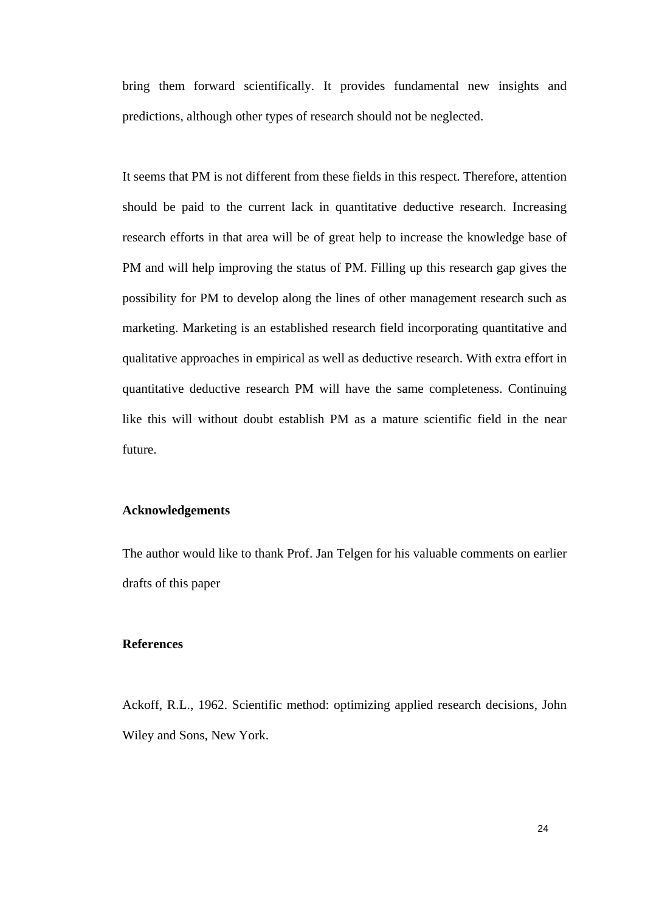bring them forward scientifically. It provides fundamental new insights and predictions, although other types of research should not be neglected.

It seems that PM is not different from these fields in this respect. Therefore, attention should be paid to the current lack in quantitative deductive research. Increasing research efforts in that area will be of great help to increase the knowledge base of PM and will help improving the status of PM. Filling up this research gap gives the possibility for PM to develop along the lines of other management research such as marketing. Marketing is an established research field incorporating quantitative and qualitative approaches in empirical as well as deductive research. With extra effort in quantitative deductive research PM will have the same completeness. Continuing like this will without doubt establish PM as a mature scientific field in the near future.

## **Acknowledgements**

The author would like to thank Prof. Jan Telgen for his valuable comments on earlier drafts of this paper

#### **References**

Ackoff, R.L., 1962. Scientific method: optimizing applied research decisions, John Wiley and Sons, New York.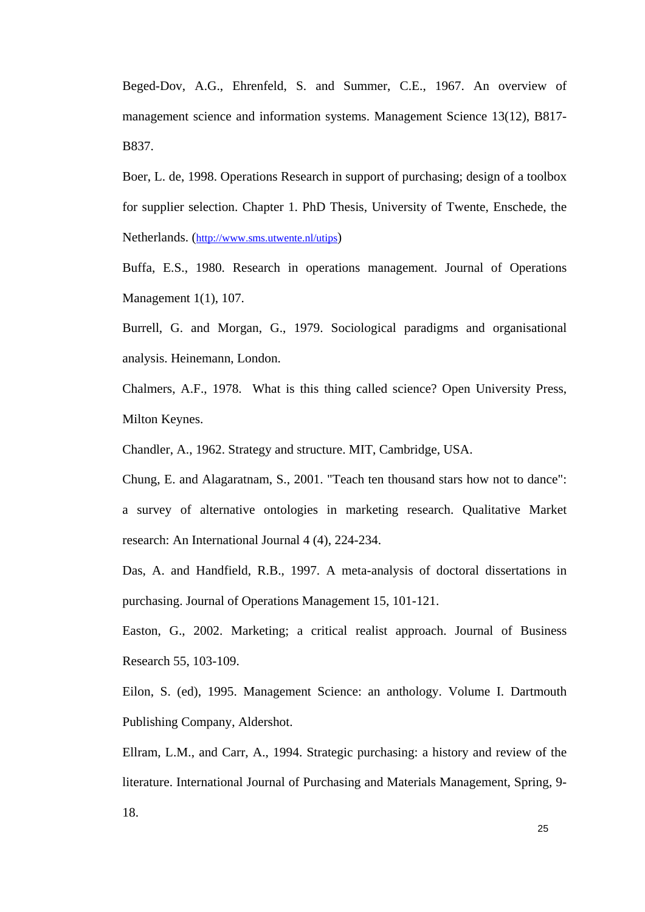Beged-Dov, A.G., Ehrenfeld, S. and Summer, C.E., 1967. An overview of management science and information systems. Management Science 13(12), B817- B837.

Boer, L. de, 1998. Operations Research in support of purchasing; design of a toolbox for supplier selection. Chapter 1. PhD Thesis, University of Twente, Enschede, the Netherlands. [\(http://www.sms.utwente.nl/utips\)](http://www.sms.utwente.nl/utips)

Buffa, E.S., 1980. Research in operations management. Journal of Operations Management 1(1), 107.

Burrell, G. and Morgan, G., 1979. Sociological paradigms and organisational analysis. Heinemann, London.

Chalmers, A.F., 1978. What is this thing called science? Open University Press, Milton Keynes.

Chandler, A., 1962. Strategy and structure. MIT, Cambridge, USA.

Chung, E. and Alagaratnam, S., 2001. "Teach ten thousand stars how not to dance": a survey of alternative ontologies in marketing research. Qualitative Market research: An International Journal 4 (4), 224-234.

Das, A. and Handfield, R.B., 1997. A meta-analysis of doctoral dissertations in purchasing. Journal of Operations Management 15, 101-121.

Easton, G., 2002. Marketing; a critical realist approach. Journal of Business Research 55, 103-109.

Eilon, S. (ed), 1995. Management Science: an anthology. Volume I. Dartmouth Publishing Company, Aldershot.

Ellram, L.M., and Carr, A., 1994. Strategic purchasing: a history and review of the literature. International Journal of Purchasing and Materials Management, Spring, 9- 18.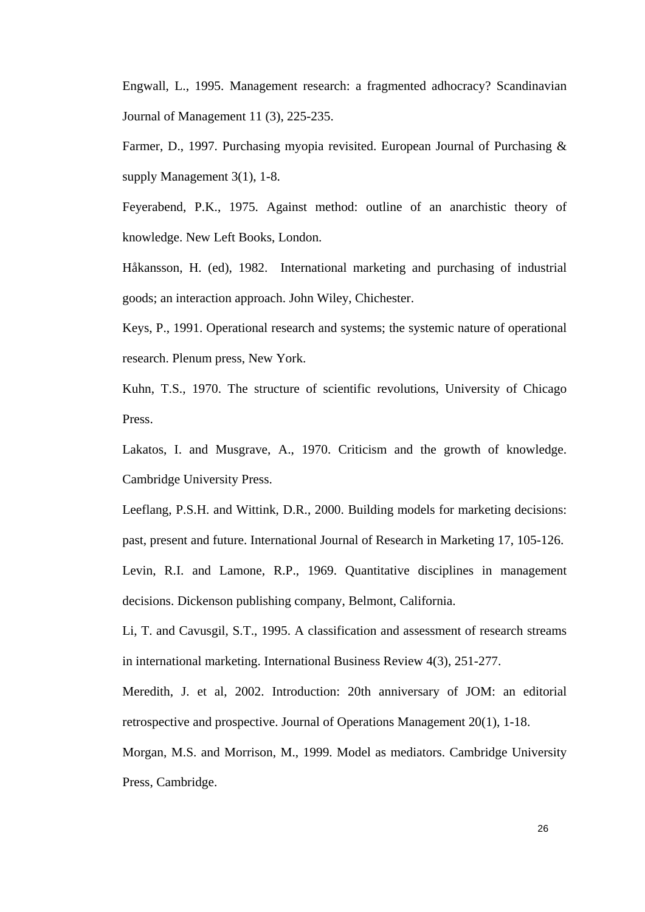Engwall, L., 1995. Management research: a fragmented adhocracy? Scandinavian Journal of Management 11 (3), 225-235.

Farmer, D., 1997. Purchasing myopia revisited. European Journal of Purchasing & supply Management 3(1), 1-8.

Feyerabend, P.K., 1975. Against method: outline of an anarchistic theory of knowledge. New Left Books, London.

Håkansson, H. (ed), 1982. International marketing and purchasing of industrial goods; an interaction approach. John Wiley, Chichester.

Keys, P., 1991. Operational research and systems; the systemic nature of operational research. Plenum press, New York.

Kuhn, T.S., 1970. The structure of scientific revolutions, University of Chicago Press.

Lakatos, I. and Musgrave, A., 1970. Criticism and the growth of knowledge. Cambridge University Press.

Leeflang, P.S.H. and Wittink, D.R., 2000. Building models for marketing decisions: past, present and future. International Journal of Research in Marketing 17, 105-126. Levin, R.I. and Lamone, R.P., 1969. Quantitative disciplines in management decisions. Dickenson publishing company, Belmont, California.

Li, T. and Cavusgil, S.T., 1995. A classification and assessment of research streams in international marketing. International Business Review 4(3), 251-277.

Meredith, J. et al, 2002. Introduction: 20th anniversary of JOM: an editorial retrospective and prospective. Journal of Operations Management 20(1), 1-18.

Morgan, M.S. and Morrison, M., 1999. Model as mediators. Cambridge University Press, Cambridge.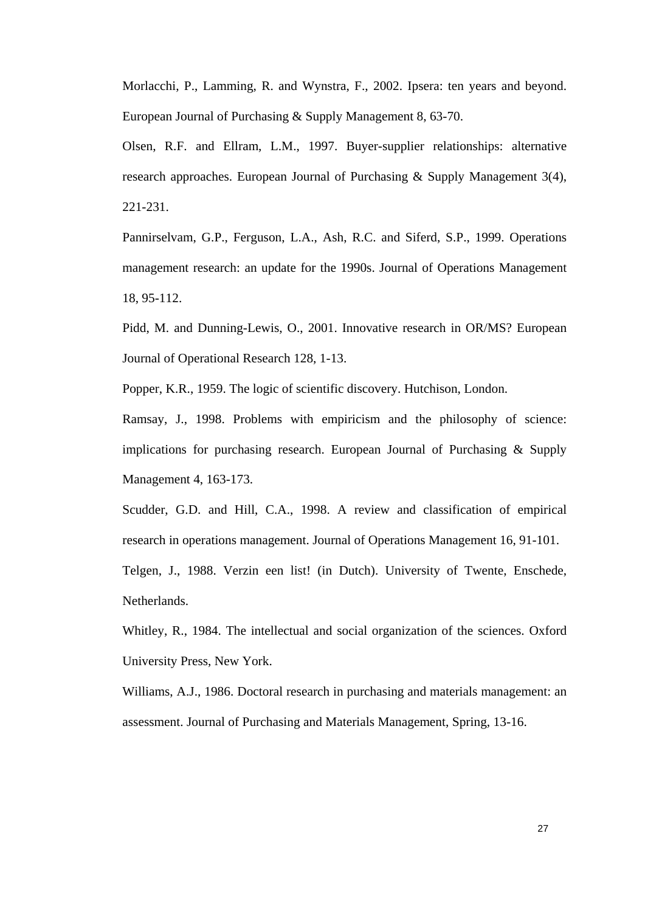Morlacchi, P., Lamming, R. and Wynstra, F., 2002. Ipsera: ten years and beyond. European Journal of Purchasing & Supply Management 8, 63-70.

Olsen, R.F. and Ellram, L.M., 1997. Buyer-supplier relationships: alternative research approaches. European Journal of Purchasing & Supply Management 3(4), 221-231.

Pannirselvam, G.P., Ferguson, L.A., Ash, R.C. and Siferd, S.P., 1999. Operations management research: an update for the 1990s. Journal of Operations Management 18, 95-112.

Pidd, M. and Dunning-Lewis, O., 2001. Innovative research in OR/MS? European Journal of Operational Research 128, 1-13.

Popper, K.R., 1959. The logic of scientific discovery. Hutchison, London.

Ramsay, J., 1998. Problems with empiricism and the philosophy of science: implications for purchasing research. European Journal of Purchasing & Supply Management 4, 163-173.

Scudder, G.D. and Hill, C.A., 1998. A review and classification of empirical research in operations management. Journal of Operations Management 16, 91-101. Telgen, J., 1988. Verzin een list! (in Dutch). University of Twente, Enschede,

Netherlands.

Whitley, R., 1984. The intellectual and social organization of the sciences. Oxford University Press, New York.

Williams, A.J., 1986. Doctoral research in purchasing and materials management: an assessment. Journal of Purchasing and Materials Management, Spring, 13-16.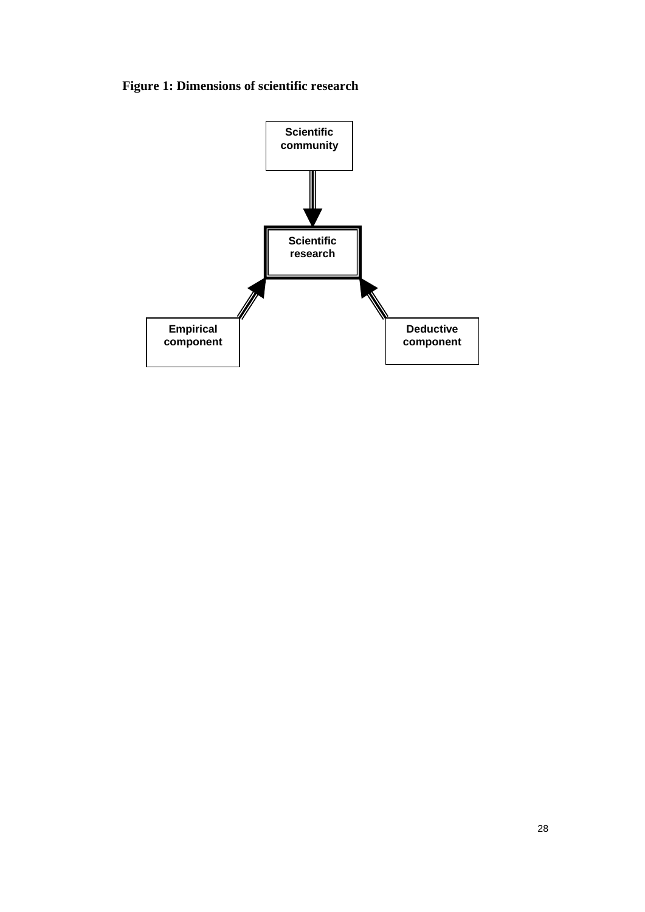# **Figure 1: Dimensions of scientific research**

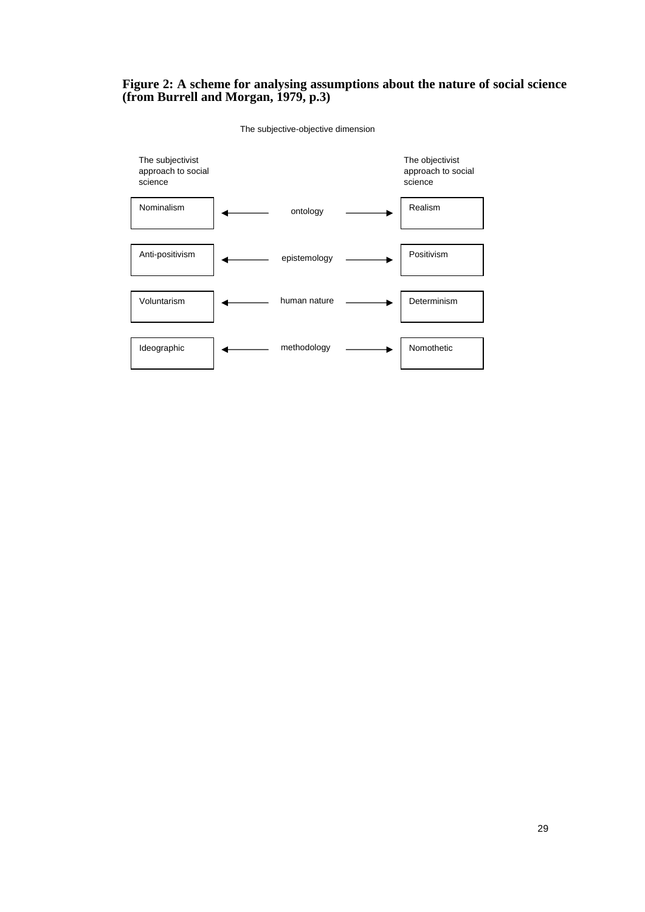## **Figure 2: A scheme for analysing assumptions about the nature of social science (from Burrell and Morgan, 1979, p.3)**



The subjective-objective dimension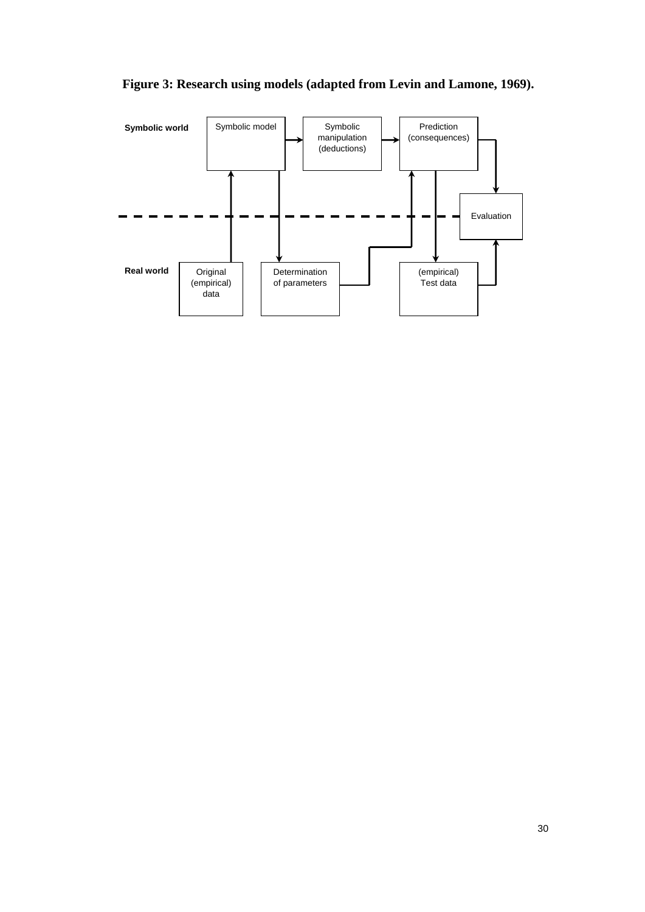

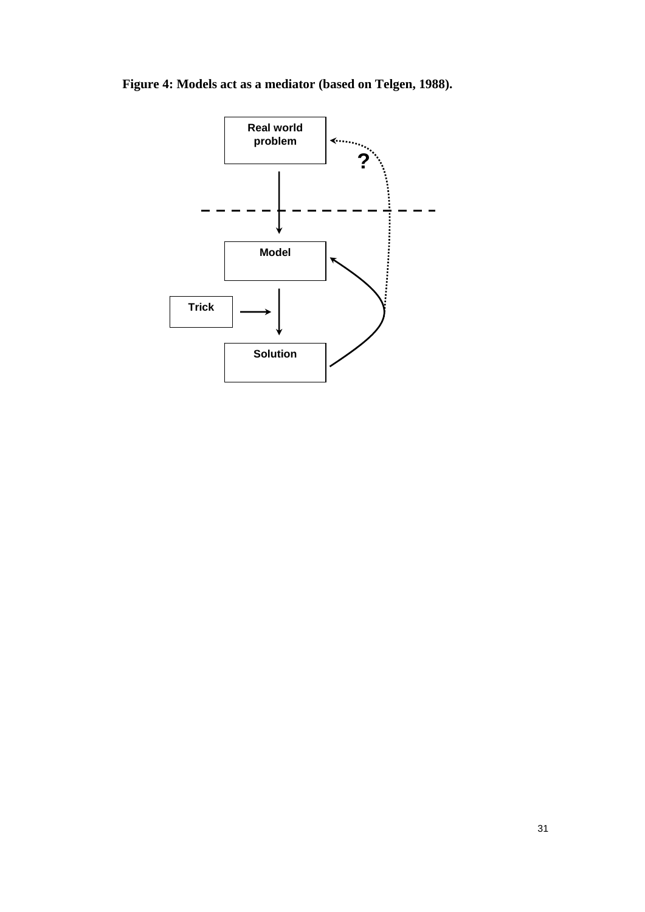**Figure 4: Models act as a mediator (based on Telgen, 1988).**

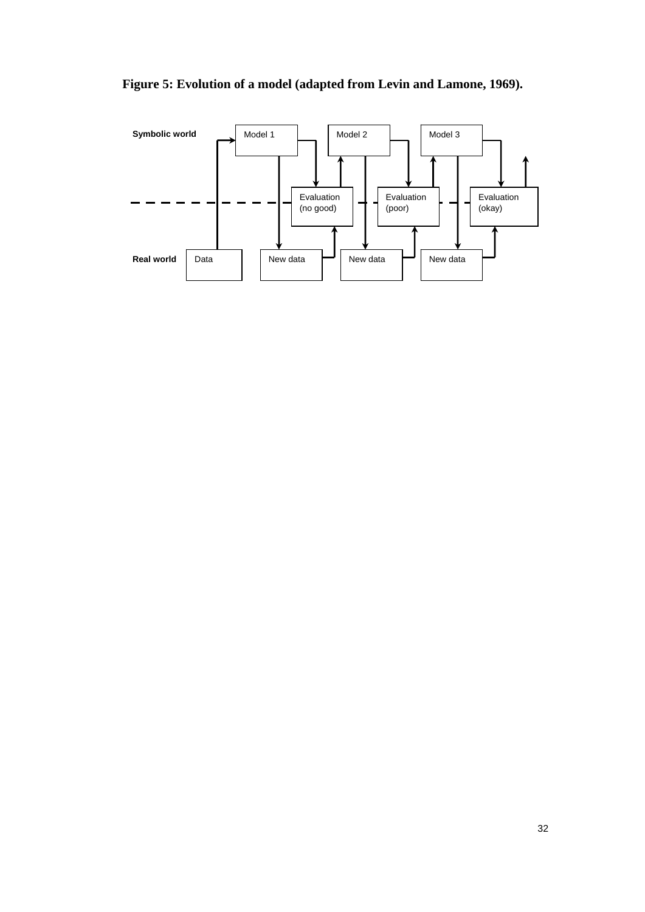

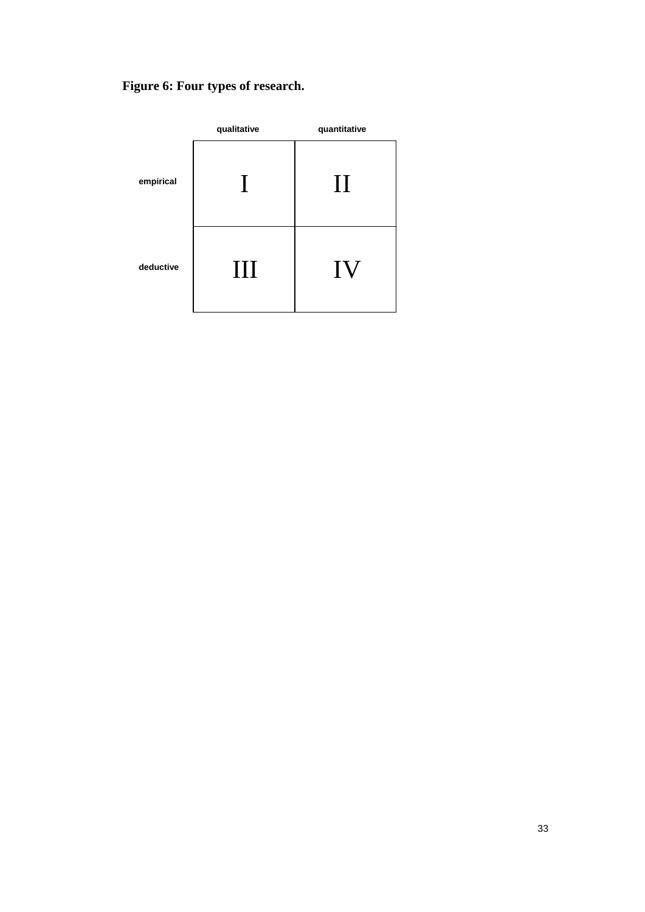# **Figure 6: Four types of research.**

|           | qualitative  | quantitative   |  |  |  |
|-----------|--------------|----------------|--|--|--|
| empirical | $\mathbf{I}$ | $\prod$        |  |  |  |
| deductive | Ш            | 1 <sup>V</sup> |  |  |  |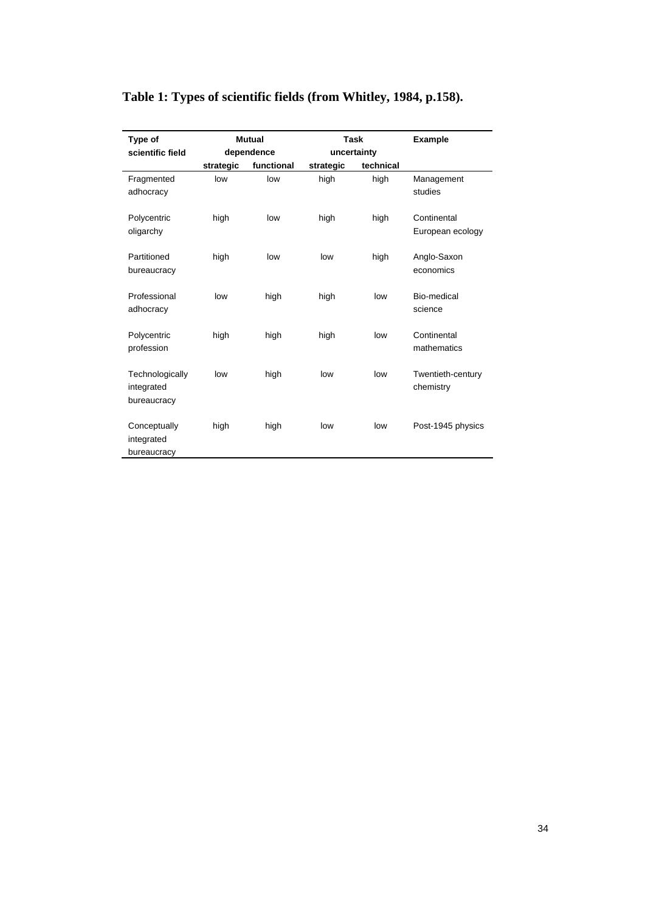# **Table 1: Types of scientific fields (from Whitley, 1984, p.158).**

| Type of                                      | <b>Mutual</b> |                           | Task      |           | <b>Example</b>                  |  |
|----------------------------------------------|---------------|---------------------------|-----------|-----------|---------------------------------|--|
| scientific field                             |               | dependence<br>uncertainty |           |           |                                 |  |
|                                              | strategic     | functional                | strategic | technical |                                 |  |
| Fragmented<br>adhocracy                      | low           | low                       | high      | high      | Management<br>studies           |  |
| Polycentric<br>oligarchy                     | high          | low                       | high      | high      | Continental<br>European ecology |  |
| Partitioned<br>bureaucracy                   | high          | low                       | low       | high      | Anglo-Saxon<br>economics        |  |
| Professional<br>adhocracy                    | low           | high                      | high      | low       | Bio-medical<br>science          |  |
| Polycentric<br>profession                    | high          | high                      | high      | low       | Continental<br>mathematics      |  |
| Technologically<br>integrated<br>bureaucracy | low           | high                      | low       | low       | Twentieth-century<br>chemistry  |  |
| Conceptually<br>integrated<br>bureaucracy    | high          | high                      | low       | low       | Post-1945 physics               |  |